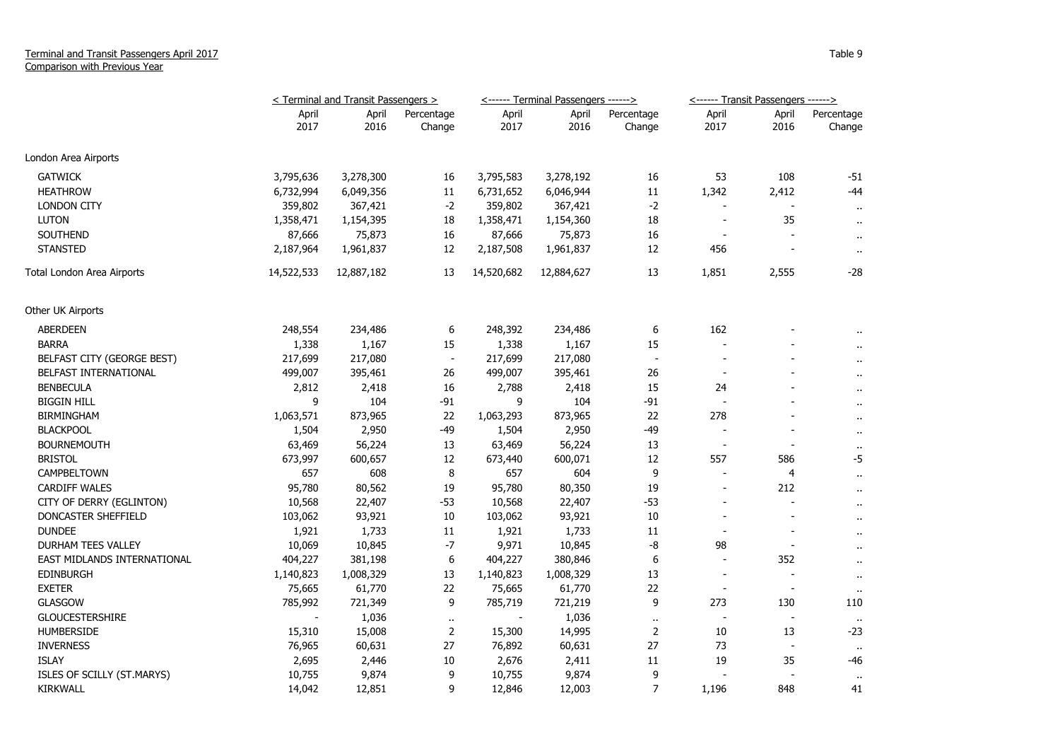## Terminal and Transit Passengers April 2017 Comparison with Previous Year

|                             | < Terminal and Transit Passengers > |               |                          |               | <------ Terminal Passengers ------> |                          | <------ Transit Passengers ------> |                          |                      |
|-----------------------------|-------------------------------------|---------------|--------------------------|---------------|-------------------------------------|--------------------------|------------------------------------|--------------------------|----------------------|
|                             | April<br>2017                       | April<br>2016 | Percentage<br>Change     | April<br>2017 | April<br>2016                       | Percentage<br>Change     | April<br>2017                      | April<br>2016            | Percentage<br>Change |
| London Area Airports        |                                     |               |                          |               |                                     |                          |                                    |                          |                      |
| <b>GATWICK</b>              | 3,795,636                           | 3,278,300     | 16                       | 3,795,583     | 3,278,192                           | 16                       | 53                                 | 108                      | -51                  |
| <b>HEATHROW</b>             | 6,732,994                           | 6,049,356     | $11\,$                   | 6,731,652     | 6,046,944                           | $11\,$                   | 1,342                              | 2,412                    | $-44$                |
| <b>LONDON CITY</b>          | 359,802                             | 367,421       | $-2$                     | 359,802       | 367,421                             | $-2$                     |                                    |                          | $\cdots$             |
| <b>LUTON</b>                | 1,358,471                           | 1,154,395     | 18                       | 1,358,471     | 1,154,360                           | 18                       | $\blacksquare$                     | 35                       | $\sim$               |
| <b>SOUTHEND</b>             | 87,666                              | 75,873        | 16                       | 87,666        | 75,873                              | 16                       | $\overline{\phantom{a}}$           |                          | $\cdot$ .            |
| <b>STANSTED</b>             | 2,187,964                           | 1,961,837     | 12                       | 2,187,508     | 1,961,837                           | 12                       | 456                                |                          | $\ddot{\phantom{1}}$ |
| Total London Area Airports  | 14,522,533                          | 12,887,182    | 13                       | 14,520,682    | 12,884,627                          | 13                       | 1,851                              | 2,555                    | $-28$                |
| Other UK Airports           |                                     |               |                          |               |                                     |                          |                                    |                          |                      |
| ABERDEEN                    | 248,554                             | 234,486       | 6                        | 248,392       | 234,486                             | 6                        | 162                                |                          |                      |
| <b>BARRA</b>                | 1,338                               | 1,167         | 15                       | 1,338         | 1,167                               | 15                       | $\overline{a}$                     |                          |                      |
| BELFAST CITY (GEORGE BEST)  | 217,699                             | 217,080       | $\overline{\phantom{a}}$ | 217,699       | 217,080                             | $\overline{\phantom{a}}$ |                                    |                          | $\ddot{\phantom{a}}$ |
| BELFAST INTERNATIONAL       | 499,007                             | 395,461       | 26                       | 499,007       | 395,461                             | 26                       | $\overline{\phantom{a}}$           |                          | $\ddot{\phantom{a}}$ |
| <b>BENBECULA</b>            | 2,812                               | 2,418         | 16                       | 2,788         | 2,418                               | 15                       | 24                                 |                          | $\ddot{\phantom{1}}$ |
| <b>BIGGIN HILL</b>          | 9                                   | 104           | $-91$                    | 9             | 104                                 | $-91$                    |                                    |                          | $\ddot{\phantom{a}}$ |
| <b>BIRMINGHAM</b>           | 1,063,571                           | 873,965       | 22                       | 1,063,293     | 873,965                             | 22                       | 278                                |                          | $\ddot{\phantom{1}}$ |
| <b>BLACKPOOL</b>            | 1,504                               | 2,950         | $-49$                    | 1,504         | 2,950                               | $-49$                    | $\overline{\phantom{a}}$           |                          | $\ddot{\phantom{1}}$ |
| <b>BOURNEMOUTH</b>          | 63,469                              | 56,224        | 13                       | 63,469        | 56,224                              | 13                       | $\overline{\phantom{a}}$           |                          | $\mathbf{r}$         |
| <b>BRISTOL</b>              | 673,997                             | 600,657       | 12                       | 673,440       | 600,071                             | 12                       | 557                                | 586                      | -5                   |
| <b>CAMPBELTOWN</b>          | 657                                 | 608           | 8                        | 657           | 604                                 | 9                        |                                    | 4                        | $\mathbf{r}$         |
| CARDIFF WALES               | 95,780                              | 80,562        | 19                       | 95,780        | 80,350                              | 19                       | $\sim$                             | 212                      | $\ddot{\phantom{a}}$ |
| CITY OF DERRY (EGLINTON)    | 10,568                              | 22,407        | $-53$                    | 10,568        | 22,407                              | $-53$                    | $\blacksquare$                     |                          |                      |
| DONCASTER SHEFFIELD         | 103,062                             | 93,921        | 10                       | 103,062       | 93,921                              | 10                       | $\overline{a}$                     |                          | $\ddot{\phantom{1}}$ |
| <b>DUNDEE</b>               | 1,921                               | 1,733         | 11                       | 1,921         | 1,733                               | 11                       | $\overline{\phantom{a}}$           |                          | $\ddot{\phantom{a}}$ |
| DURHAM TEES VALLEY          | 10,069                              | 10,845        | $-7$                     | 9,971         | 10,845                              | -8                       | 98                                 |                          | $\ddot{\phantom{1}}$ |
| EAST MIDLANDS INTERNATIONAL | 404,227                             | 381,198       | 6                        | 404,227       | 380,846                             | 6                        | $\blacksquare$                     | 352                      | $\cdot$ .            |
| <b>EDINBURGH</b>            | 1,140,823                           | 1,008,329     | 13                       | 1,140,823     | 1,008,329                           | 13                       | $\overline{\phantom{a}}$           |                          | $\ddot{\phantom{1}}$ |
| <b>EXETER</b>               | 75,665                              | 61,770        | 22                       | 75,665        | 61,770                              | 22                       | $\blacksquare$                     | $\overline{\phantom{a}}$ |                      |
| <b>GLASGOW</b>              | 785,992                             | 721,349       | 9                        | 785,719       | 721,219                             | 9                        | 273                                | 130                      | 110                  |
| <b>GLOUCESTERSHIRE</b>      |                                     | 1,036         | $\bullet$ .              |               | 1,036                               | $\ddot{\phantom{1}}$     |                                    |                          |                      |
| <b>HUMBERSIDE</b>           | 15,310                              | 15,008        | 2                        | 15,300        | 14,995                              | $\mathbf 2$              | 10                                 | 13                       | $-23$                |
| <b>INVERNESS</b>            | 76,965                              | 60,631        | 27                       | 76,892        | 60,631                              | 27                       | 73                                 |                          |                      |
| <b>ISLAY</b>                | 2,695                               | 2,446         | 10                       | 2,676         | 2,411                               | 11                       | 19                                 | 35                       | -46                  |
| ISLES OF SCILLY (ST.MARYS)  | 10,755                              | 9,874         | 9                        | 10,755        | 9,874                               | 9                        |                                    |                          | $\ddot{\phantom{1}}$ |
| <b>KIRKWALL</b>             | 14,042                              | 12,851        | 9                        | 12,846        | 12,003                              | $\overline{7}$           | 1,196                              | 848                      | 41                   |